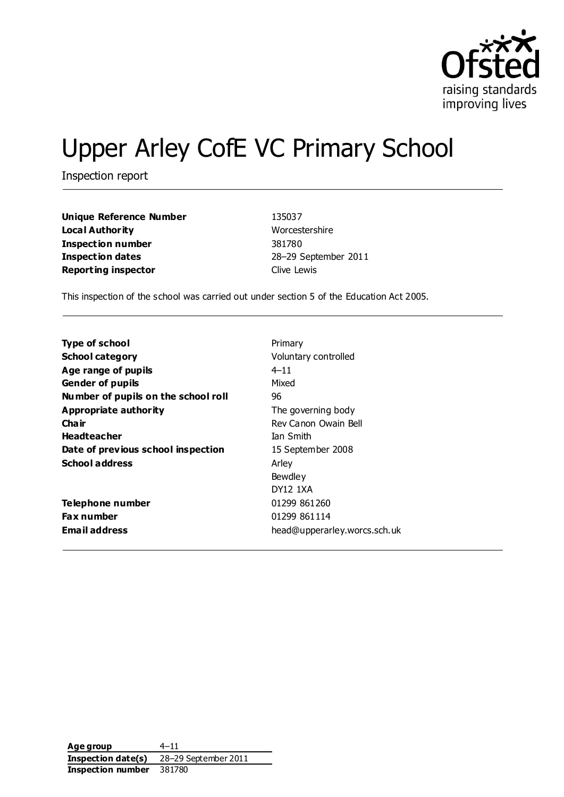

# Upper Arley CofE VC Primary School

Inspection report

**Unique Reference Number** 135037 **Local Authority** Worcestershire **Inspection number** 381780 **Inspection dates** 28–29 September 2011 **Reporting inspector Clive Lewis** 

This inspection of the school was carried out under section 5 of the Education Act 2005.

| <b>Type of school</b>               | Primary                      |
|-------------------------------------|------------------------------|
| <b>School category</b>              | Voluntary controlled         |
| Age range of pupils                 | 4–11                         |
| <b>Gender of pupils</b>             | Mixed                        |
| Number of pupils on the school roll | 96                           |
| <b>Appropriate authority</b>        | The governing body           |
| Cha ir                              | Rev Canon Owain Bell         |
| <b>Headteacher</b>                  | <b>Tan Smith</b>             |
| Date of previous school inspection  | 15 September 2008            |
| <b>School address</b>               | Arley                        |
|                                     | Bewdley                      |
|                                     | <b>DY12 1XA</b>              |
| Telephone number                    | 01299 861260                 |
| <b>Fax number</b>                   | 01299 861114                 |
| <b>Email address</b>                | head@upperarley.worcs.sch.uk |

**Age group** 4–11 **Inspection date(s)** 28–29 September 2011 **Inspection number** 381780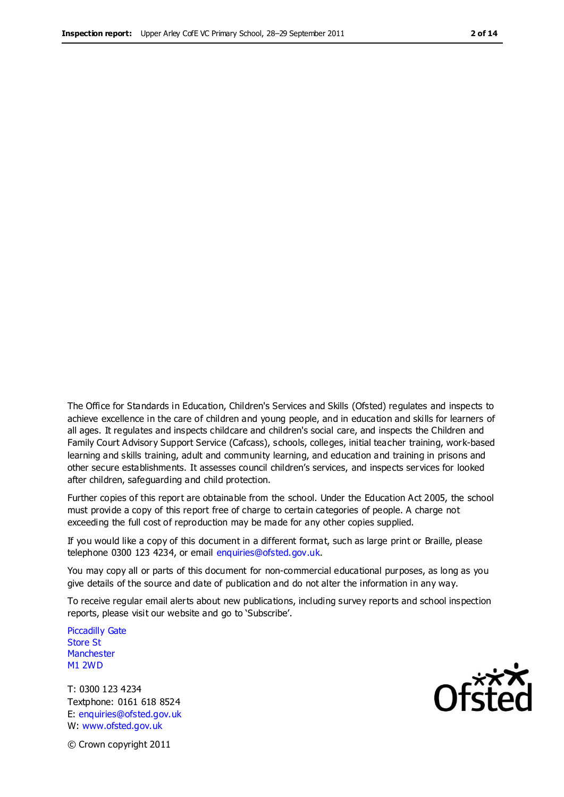The Office for Standards in Education, Children's Services and Skills (Ofsted) regulates and inspects to achieve excellence in the care of children and young people, and in education and skills for learners of all ages. It regulates and inspects childcare and children's social care, and inspects the Children and Family Court Advisory Support Service (Cafcass), schools, colleges, initial teacher training, work-based learning and skills training, adult and community learning, and education and training in prisons and other secure establishments. It assesses council children's services, and inspects services for looked after children, safeguarding and child protection.

Further copies of this report are obtainable from the school. Under the Education Act 2005, the school must provide a copy of this report free of charge to certain categories of people. A charge not exceeding the full cost of reproduction may be made for any other copies supplied.

If you would like a copy of this document in a different format, such as large print or Braille, please telephone 0300 123 4234, or email enquiries@ofsted.gov.uk.

You may copy all or parts of this document for non-commercial educational purposes, as long as you give details of the source and date of publication and do not alter the information in any way.

To receive regular email alerts about new publications, including survey reports and school inspection reports, please visit our website and go to 'Subscribe'.

Piccadilly Gate Store St **Manchester** M1 2WD

T: 0300 123 4234 Textphone: 0161 618 8524 E: enquiries@ofsted.gov.uk W: www.ofsted.gov.uk

**Ofsted** 

© Crown copyright 2011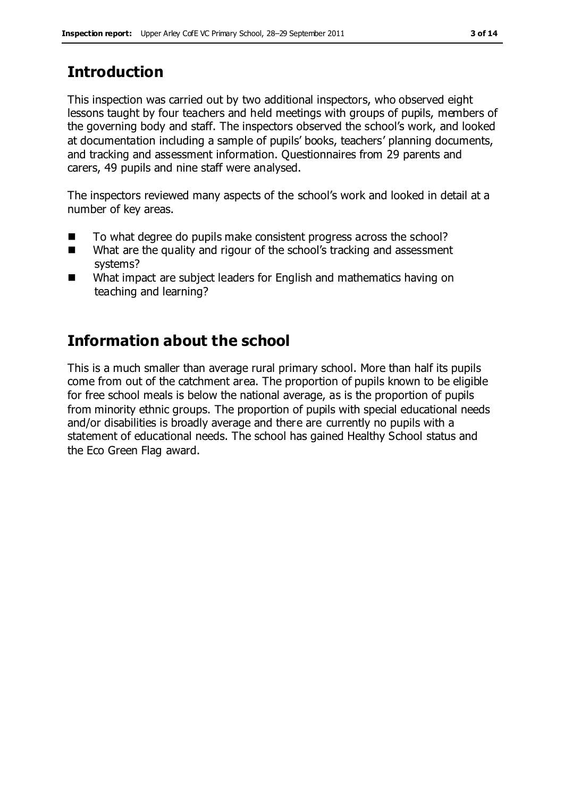# **Introduction**

This inspection was carried out by two additional inspectors, who observed eight lessons taught by four teachers and held meetings with groups of pupils, members of the governing body and staff. The inspectors observed the school's work, and looked at documentation including a sample of pupils' books, teachers' planning documents, and tracking and assessment information. Questionnaires from 29 parents and carers, 49 pupils and nine staff were analysed.

The inspectors reviewed many aspects of the school's work and looked in detail at a number of key areas.

- To what degree do pupils make consistent progress across the school?
- What are the quality and rigour of the school's tracking and assessment systems?
- What impact are subject leaders for English and mathematics having on teaching and learning?

# **Information about the school**

This is a much smaller than average rural primary school. More than half its pupils come from out of the catchment area. The proportion of pupils known to be eligible for free school meals is below the national average, as is the proportion of pupils from minority ethnic groups. The proportion of pupils with special educational needs and/or disabilities is broadly average and there are currently no pupils with a statement of educational needs. The school has gained Healthy School status and the Eco Green Flag award.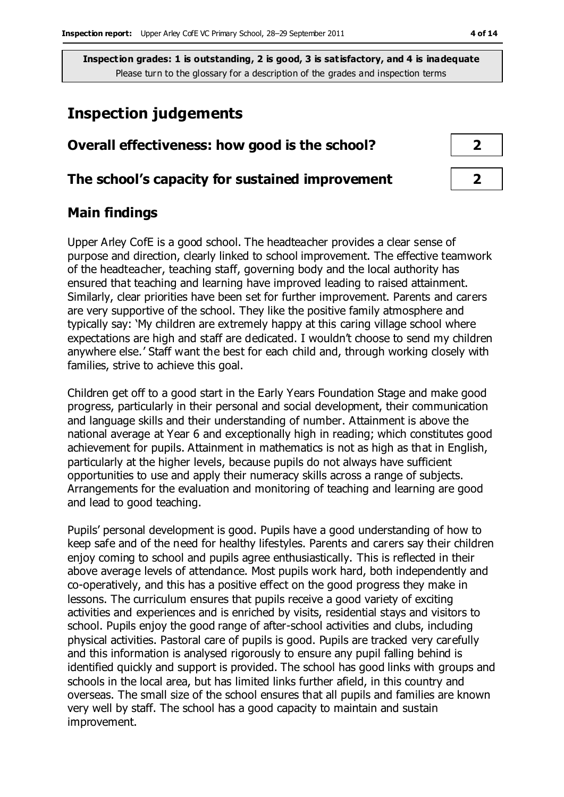### **Inspection judgements**

| Overall effectiveness: how good is the school?  |  |
|-------------------------------------------------|--|
| The school's capacity for sustained improvement |  |

#### **Main findings**

Upper Arley CofE is a good school. The headteacher provides a clear sense of purpose and direction, clearly linked to school improvement. The effective teamwork of the headteacher, teaching staff, governing body and the local authority has ensured that teaching and learning have improved leading to raised attainment. Similarly, clear priorities have been set for further improvement. Parents and carers are very supportive of the school. They like the positive family atmosphere and typically say: 'My children are extremely happy at this caring village school where expectations are high and staff are dedicated. I wouldn't choose to send my children anywhere else.' Staff want the best for each child and, through working closely with families, strive to achieve this goal.

Children get off to a good start in the Early Years Foundation Stage and make good progress, particularly in their personal and social development, their communication and language skills and their understanding of number. Attainment is above the national average at Year 6 and exceptionally high in reading; which constitutes good achievement for pupils. Attainment in mathematics is not as high as that in English, particularly at the higher levels, because pupils do not always have sufficient opportunities to use and apply their numeracy skills across a range of subjects. Arrangements for the evaluation and monitoring of teaching and learning are good and lead to good teaching.

Pupils' personal development is good. Pupils have a good understanding of how to keep safe and of the need for healthy lifestyles. Parents and carers say their children enjoy coming to school and pupils agree enthusiastically. This is reflected in their above average levels of attendance. Most pupils work hard, both independently and co-operatively, and this has a positive effect on the good progress they make in lessons. The curriculum ensures that pupils receive a good variety of exciting activities and experiences and is enriched by visits, residential stays and visitors to school. Pupils enjoy the good range of after-school activities and clubs, including physical activities. Pastoral care of pupils is good. Pupils are tracked very carefully and this information is analysed rigorously to ensure any pupil falling behind is identified quickly and support is provided. The school has good links with groups and schools in the local area, but has limited links further afield, in this country and overseas. The small size of the school ensures that all pupils and families are known very well by staff. The school has a good capacity to maintain and sustain improvement.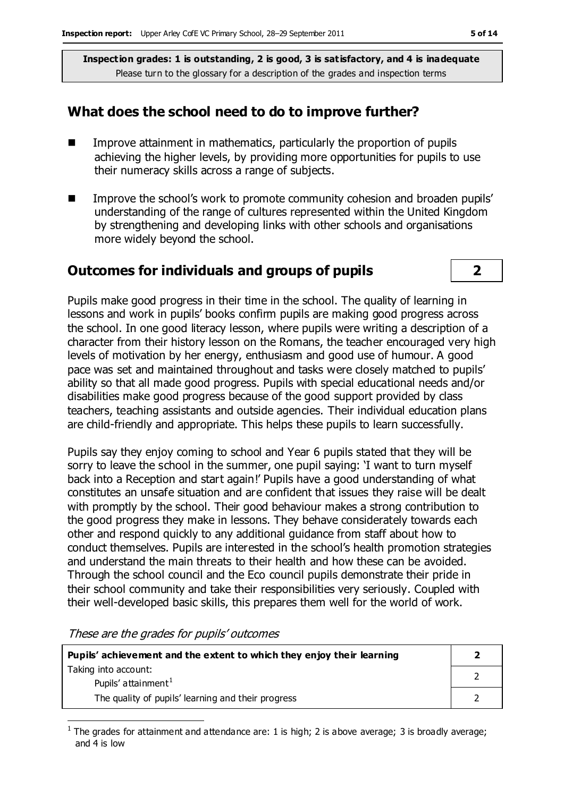#### **What does the school need to do to improve further?**

- **IMPROVE Attainment in mathematics, particularly the proportion of pupils** achieving the higher levels, by providing more opportunities for pupils to use their numeracy skills across a range of subjects.
- **IMPROVE THE SCHOOL'S WORK TO promote community cohesion and broaden pupils'** understanding of the range of cultures represented within the United Kingdom by strengthening and developing links with other schools and organisations more widely beyond the school.

#### **Outcomes for individuals and groups of pupils 2**

Pupils make good progress in their time in the school. The quality of learning in lessons and work in pupils' books confirm pupils are making good progress across the school. In one good literacy lesson, where pupils were writing a description of a character from their history lesson on the Romans, the teacher encouraged very high levels of motivation by her energy, enthusiasm and good use of humour. A good pace was set and maintained throughout and tasks were closely matched to pupils' ability so that all made good progress. Pupils with special educational needs and/or disabilities make good progress because of the good support provided by class teachers, teaching assistants and outside agencies. Their individual education plans are child-friendly and appropriate. This helps these pupils to learn successfully.

Pupils say they enjoy coming to school and Year 6 pupils stated that they will be sorry to leave the school in the summer, one pupil saying: 'I want to turn myself back into a Reception and start again!' Pupils have a good understanding of what constitutes an unsafe situation and are confident that issues they raise will be dealt with promptly by the school. Their good behaviour makes a strong contribution to the good progress they make in lessons. They behave considerately towards each other and respond quickly to any additional guidance from staff about how to conduct themselves. Pupils are interested in the school's health promotion strategies and understand the main threats to their health and how these can be avoided. Through the school council and the Eco council pupils demonstrate their pride in their school community and take their responsibilities very seriously. Coupled with their well-developed basic skills, this prepares them well for the world of work.

These are the grades for pupils' outcomes

 $\overline{a}$ 

| Pupils' achievement and the extent to which they enjoy their learning |  |
|-----------------------------------------------------------------------|--|
| Taking into account:<br>Pupils' attainment <sup>1</sup>               |  |
| The quality of pupils' learning and their progress                    |  |

<sup>1</sup> The grades for attainment and attendance are: 1 is high; 2 is above average; 3 is broadly average; and 4 is low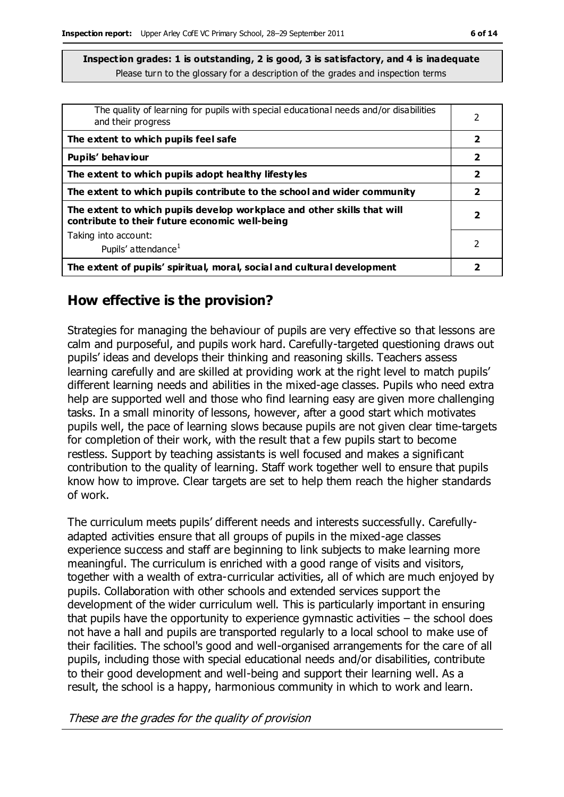| The quality of learning for pupils with special educational needs and/or disabilities<br>and their progress               |                         |
|---------------------------------------------------------------------------------------------------------------------------|-------------------------|
| The extent to which pupils feel safe                                                                                      | $\overline{\mathbf{2}}$ |
| Pupils' behaviour                                                                                                         | 2                       |
| The extent to which pupils adopt healthy lifestyles                                                                       | $\overline{\mathbf{2}}$ |
| The extent to which pupils contribute to the school and wider community                                                   | 2                       |
| The extent to which pupils develop workplace and other skills that will<br>contribute to their future economic well-being | 7                       |
| Taking into account:                                                                                                      | 2                       |
| Pupils' attendance <sup>1</sup>                                                                                           |                         |
| The extent of pupils' spiritual, moral, social and cultural development                                                   |                         |

#### **How effective is the provision?**

Strategies for managing the behaviour of pupils are very effective so that lessons are calm and purposeful, and pupils work hard. Carefully-targeted questioning draws out pupils' ideas and develops their thinking and reasoning skills. Teachers assess learning carefully and are skilled at providing work at the right level to match pupils' different learning needs and abilities in the mixed-age classes. Pupils who need extra help are supported well and those who find learning easy are given more challenging tasks. In a small minority of lessons, however, after a good start which motivates pupils well, the pace of learning slows because pupils are not given clear time-targets for completion of their work, with the result that a few pupils start to become restless. Support by teaching assistants is well focused and makes a significant contribution to the quality of learning. Staff work together well to ensure that pupils know how to improve. Clear targets are set to help them reach the higher standards of work.

The curriculum meets pupils' different needs and interests successfully. Carefullyadapted activities ensure that all groups of pupils in the mixed-age classes experience success and staff are beginning to link subjects to make learning more meaningful. The curriculum is enriched with a good range of visits and visitors, together with a wealth of extra-curricular activities, all of which are much enjoyed by pupils. Collaboration with other schools and extended services support the development of the wider curriculum well. This is particularly important in ensuring that pupils have the opportunity to experience gymnastic activities  $-$  the school does not have a hall and pupils are transported regularly to a local school to make use of their facilities. The school's good and well-organised arrangements for the care of all pupils, including those with special educational needs and/or disabilities, contribute to their good development and well-being and support their learning well. As a result, the school is a happy, harmonious community in which to work and learn.

These are the grades for the quality of provision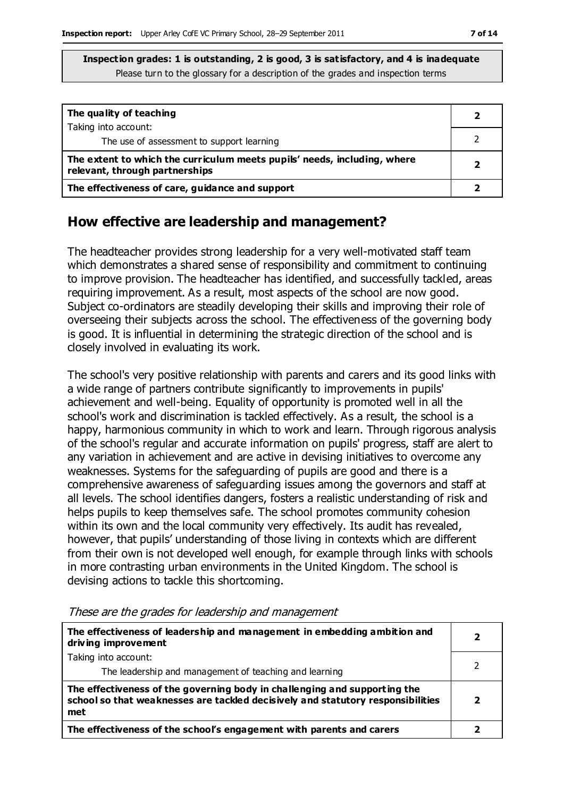| The quality of teaching                                                                                    |  |
|------------------------------------------------------------------------------------------------------------|--|
| Taking into account:<br>The use of assessment to support learning                                          |  |
| The extent to which the curriculum meets pupils' needs, including, where<br>relevant, through partnerships |  |
| The effectiveness of care, guidance and support                                                            |  |

#### **How effective are leadership and management?**

The headteacher provides strong leadership for a very well-motivated staff team which demonstrates a shared sense of responsibility and commitment to continuing to improve provision. The headteacher has identified, and successfully tackled, areas requiring improvement. As a result, most aspects of the school are now good. Subject co-ordinators are steadily developing their skills and improving their role of overseeing their subjects across the school. The effectiveness of the governing body is good. It is influential in determining the strategic direction of the school and is closely involved in evaluating its work.

The school's very positive relationship with parents and carers and its good links with a wide range of partners contribute significantly to improvements in pupils' achievement and well-being. Equality of opportunity is promoted well in all the school's work and discrimination is tackled effectively. As a result, the school is a happy, harmonious community in which to work and learn. Through rigorous analysis of the school's regular and accurate information on pupils' progress, staff are alert to any variation in achievement and are active in devising initiatives to overcome any weaknesses. Systems for the safeguarding of pupils are good and there is a comprehensive awareness of safeguarding issues among the governors and staff at all levels. The school identifies dangers, fosters a realistic understanding of risk and helps pupils to keep themselves safe. The school promotes community cohesion within its own and the local community very effectively. Its audit has revealed, however, that pupils' understanding of those living in contexts which are different from their own is not developed well enough, for example through links with schools in more contrasting urban environments in the United Kingdom. The school is devising actions to tackle this shortcoming.

| The effectiveness of leadership and management in embedding ambition and<br>driving improvement                                                                     | 7 |
|---------------------------------------------------------------------------------------------------------------------------------------------------------------------|---|
| Taking into account:                                                                                                                                                |   |
| The leadership and management of teaching and learning                                                                                                              |   |
| The effectiveness of the governing body in challenging and supporting the<br>school so that weaknesses are tackled decisively and statutory responsibilities<br>met | 7 |
| The effectiveness of the school's engagement with parents and carers                                                                                                |   |

These are the grades for leadership and management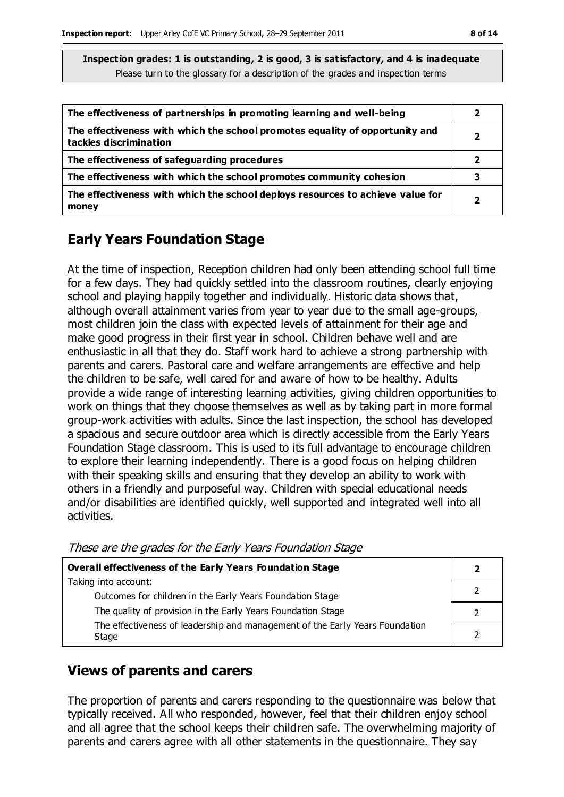| The effectiveness of partnerships in promoting learning and well-being                                 |                          |
|--------------------------------------------------------------------------------------------------------|--------------------------|
| The effectiveness with which the school promotes equality of opportunity and<br>tackles discrimination |                          |
| The effectiveness of safeguarding procedures                                                           |                          |
| The effectiveness with which the school promotes community cohesion                                    |                          |
| The effectiveness with which the school deploys resources to achieve value for<br>money                | $\overline{\phantom{a}}$ |

#### **Early Years Foundation Stage**

At the time of inspection, Reception children had only been attending school full time for a few days. They had quickly settled into the classroom routines, clearly enjoying school and playing happily together and individually. Historic data shows that, although overall attainment varies from year to year due to the small age-groups, most children join the class with expected levels of attainment for their age and make good progress in their first year in school. Children behave well and are enthusiastic in all that they do. Staff work hard to achieve a strong partnership with parents and carers. Pastoral care and welfare arrangements are effective and help the children to be safe, well cared for and aware of how to be healthy. Adults provide a wide range of interesting learning activities, giving children opportunities to work on things that they choose themselves as well as by taking part in more formal group-work activities with adults. Since the last inspection, the school has developed a spacious and secure outdoor area which is directly accessible from the Early Years Foundation Stage classroom. This is used to its full advantage to encourage children to explore their learning independently. There is a good focus on helping children with their speaking skills and ensuring that they develop an ability to work with others in a friendly and purposeful way. Children with special educational needs and/or disabilities are identified quickly, well supported and integrated well into all activities.

| Overall effectiveness of the Early Years Foundation Stage |  |
|-----------------------------------------------------------|--|

These are the grades for the Early Years Foundation Stage

| Overall effectiveness of the Early Years Foundation Stage                    |  |
|------------------------------------------------------------------------------|--|
| Taking into account:                                                         |  |
| Outcomes for children in the Early Years Foundation Stage                    |  |
| The quality of provision in the Early Years Foundation Stage                 |  |
| The effectiveness of leadership and management of the Early Years Foundation |  |
| Stage                                                                        |  |

#### **Views of parents and carers**

The proportion of parents and carers responding to the questionnaire was below that typically received. All who responded, however, feel that their children enjoy school and all agree that the school keeps their children safe. The overwhelming majority of parents and carers agree with all other statements in the questionnaire. They say

 $\perp$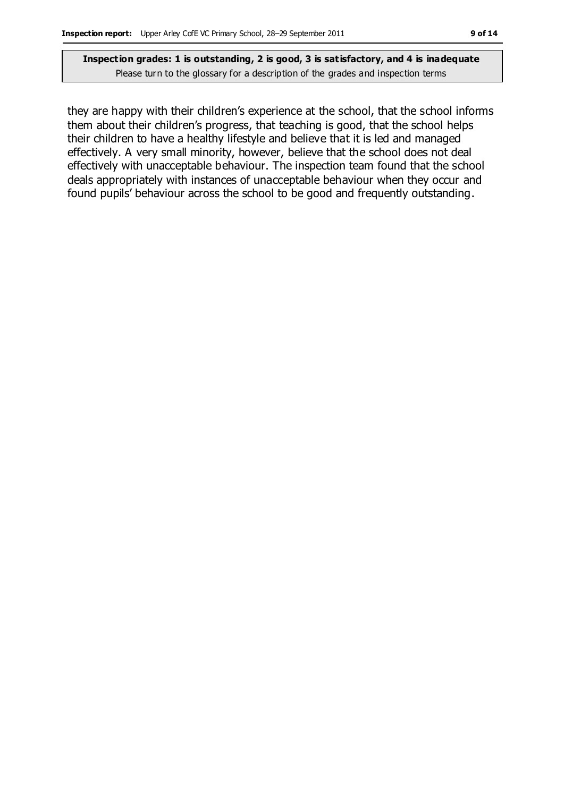they are happy with their children's experience at the school, that the school informs them about their children's progress, that teaching is good, that the school helps their children to have a healthy lifestyle and believe that it is led and managed effectively. A very small minority, however, believe that the school does not deal effectively with unacceptable behaviour. The inspection team found that the school deals appropriately with instances of unacceptable behaviour when they occur and found pupils' behaviour across the school to be good and frequently outstanding.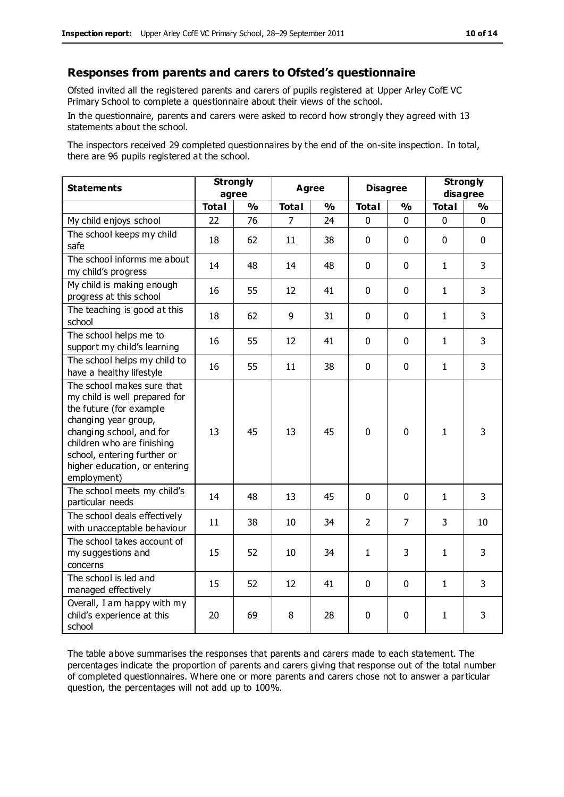#### **Responses from parents and carers to Ofsted's questionnaire**

Ofsted invited all the registered parents and carers of pupils registered at Upper Arley CofE VC Primary School to complete a questionnaire about their views of the school.

In the questionnaire, parents and carers were asked to record how strongly they agreed with 13 statements about the school.

The inspectors received 29 completed questionnaires by the end of the on-site inspection. In total, there are 96 pupils registered at the school.

| <b>Statements</b>                                                                                                                                                                                                                                       | <b>Strongly</b><br>agree |               | Agree        |               | <b>Disagree</b> |                | <b>Strongly</b><br>disagree |                |
|---------------------------------------------------------------------------------------------------------------------------------------------------------------------------------------------------------------------------------------------------------|--------------------------|---------------|--------------|---------------|-----------------|----------------|-----------------------------|----------------|
|                                                                                                                                                                                                                                                         | <b>Total</b>             | $\frac{1}{2}$ | <b>Total</b> | $\frac{1}{2}$ | <b>Total</b>    | %              | <b>Total</b>                | %              |
| My child enjoys school                                                                                                                                                                                                                                  | 22                       | 76            | 7            | 24            | 0               | 0              | $\mathbf 0$                 | $\mathbf{0}$   |
| The school keeps my child<br>safe                                                                                                                                                                                                                       | 18                       | 62            | 11           | 38            | $\mathbf 0$     | $\mathbf 0$    | $\Omega$                    | $\mathbf 0$    |
| The school informs me about<br>my child's progress                                                                                                                                                                                                      | 14                       | 48            | 14           | 48            | $\Omega$        | $\mathbf 0$    | $\mathbf{1}$                | 3              |
| My child is making enough<br>progress at this school                                                                                                                                                                                                    | 16                       | 55            | 12           | 41            | 0               | 0              | $\mathbf{1}$                | 3              |
| The teaching is good at this<br>school                                                                                                                                                                                                                  | 18                       | 62            | 9            | 31            | 0               | $\mathbf 0$    | $\mathbf{1}$                | 3              |
| The school helps me to<br>support my child's learning                                                                                                                                                                                                   | 16                       | 55            | 12           | 41            | 0               | $\Omega$       | $\mathbf{1}$                | $\overline{3}$ |
| The school helps my child to<br>have a healthy lifestyle                                                                                                                                                                                                | 16                       | 55            | 11           | 38            | 0               | $\mathbf 0$    | $\mathbf 1$                 | $\mathsf{3}$   |
| The school makes sure that<br>my child is well prepared for<br>the future (for example<br>changing year group,<br>changing school, and for<br>children who are finishing<br>school, entering further or<br>higher education, or entering<br>employment) | 13                       | 45            | 13           | 45            | $\Omega$        | $\mathbf 0$    | $\mathbf{1}$                | 3              |
| The school meets my child's<br>particular needs                                                                                                                                                                                                         | 14                       | 48            | 13           | 45            | $\mathbf 0$     | $\mathbf 0$    | $\mathbf{1}$                | 3              |
| The school deals effectively<br>with unacceptable behaviour                                                                                                                                                                                             | 11                       | 38            | 10           | 34            | $\overline{2}$  | $\overline{7}$ | 3                           | 10             |
| The school takes account of<br>my suggestions and<br>concerns                                                                                                                                                                                           | 15                       | 52            | 10           | 34            | $\mathbf{1}$    | 3              | $\mathbf{1}$                | 3              |
| The school is led and<br>managed effectively                                                                                                                                                                                                            | 15                       | 52            | 12           | 41            | $\mathbf 0$     | $\mathbf 0$    | $\mathbf{1}$                | 3              |
| Overall, I am happy with my<br>child's experience at this<br>school                                                                                                                                                                                     | 20                       | 69            | 8            | 28            | 0               | $\mathbf 0$    | $\mathbf{1}$                | 3              |

The table above summarises the responses that parents and carers made to each statement. The percentages indicate the proportion of parents and carers giving that response out of the total number of completed questionnaires. Where one or more parents and carers chose not to answer a particular question, the percentages will not add up to 100%.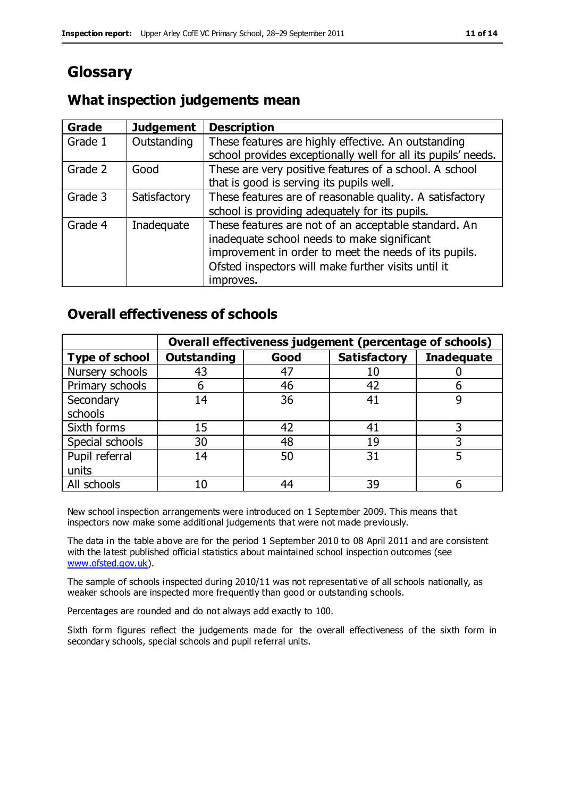# **Glossary**

#### **What inspection judgements mean**

| Grade   | <b>Judgement</b> | <b>Description</b>                                                                                                                                                                                                               |
|---------|------------------|----------------------------------------------------------------------------------------------------------------------------------------------------------------------------------------------------------------------------------|
| Grade 1 | Outstanding      | These features are highly effective. An outstanding<br>school provides exceptionally well for all its pupils' needs.                                                                                                             |
| Grade 2 | Good             | These are very positive features of a school. A school<br>that is good is serving its pupils well.                                                                                                                               |
| Grade 3 | Satisfactory     | These features are of reasonable quality. A satisfactory<br>school is providing adequately for its pupils.                                                                                                                       |
| Grade 4 | Inadequate       | These features are not of an acceptable standard. An<br>inadequate school needs to make significant<br>improvement in order to meet the needs of its pupils.<br>Ofsted inspectors will make further visits until it<br>improves. |

#### **Overall effectiveness of schools**

|                       | Overall effectiveness judgement (percentage of schools) |      |                     |                   |  |  |
|-----------------------|---------------------------------------------------------|------|---------------------|-------------------|--|--|
| <b>Type of school</b> | <b>Outstanding</b>                                      | Good | <b>Satisfactory</b> | <b>Inadequate</b> |  |  |
| Nursery schools       | 43                                                      | 47   | 10                  |                   |  |  |
| Primary schools       | 6                                                       | 46   | 42                  |                   |  |  |
| Secondary             | 14                                                      | 36   | 41                  |                   |  |  |
| schools               |                                                         |      |                     |                   |  |  |
| Sixth forms           | 15                                                      | 42   | 41                  | 3                 |  |  |
| Special schools       | 30                                                      | 48   | 19                  |                   |  |  |
| Pupil referral        | 14                                                      | 50   | 31                  |                   |  |  |
| units                 |                                                         |      |                     |                   |  |  |
| All schools           | 10                                                      | 44   | 39                  |                   |  |  |

New school inspection arrangements were introduced on 1 September 2009. This means that inspectors now make some additional judgements that were not made previously.

The data in the table above are for the period 1 September 2010 to 08 April 2011 and are consistent with the latest published official statistics about maintained school inspection outcomes (see [www.ofsted.gov.uk\)](http://www.ofsted.gov.uk/).

The sample of schools inspected during 2010/11 was not representative of all schools nationally, as weaker schools are inspected more frequently than good or outstanding schools.

Percentages are rounded and do not always add exactly to 100.

Sixth form figures reflect the judgements made for the overall effectiveness of the sixth form in secondary schools, special schools and pupil referral units.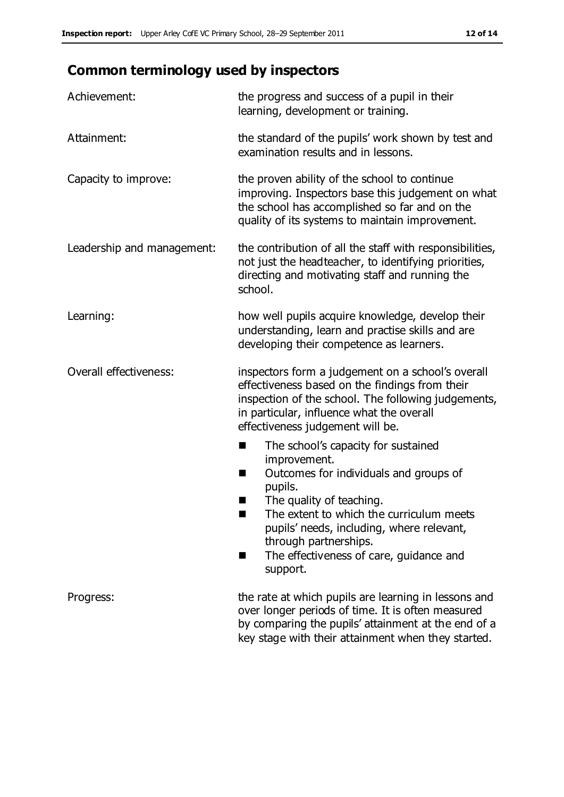# **Common terminology used by inspectors**

| Achievement:                  | the progress and success of a pupil in their<br>learning, development or training.                                                                                                                                                                                                                                           |
|-------------------------------|------------------------------------------------------------------------------------------------------------------------------------------------------------------------------------------------------------------------------------------------------------------------------------------------------------------------------|
| Attainment:                   | the standard of the pupils' work shown by test and<br>examination results and in lessons.                                                                                                                                                                                                                                    |
| Capacity to improve:          | the proven ability of the school to continue<br>improving. Inspectors base this judgement on what<br>the school has accomplished so far and on the<br>quality of its systems to maintain improvement.                                                                                                                        |
| Leadership and management:    | the contribution of all the staff with responsibilities,<br>not just the headteacher, to identifying priorities,<br>directing and motivating staff and running the<br>school.                                                                                                                                                |
| Learning:                     | how well pupils acquire knowledge, develop their<br>understanding, learn and practise skills and are<br>developing their competence as learners.                                                                                                                                                                             |
| <b>Overall effectiveness:</b> | inspectors form a judgement on a school's overall<br>effectiveness based on the findings from their<br>inspection of the school. The following judgements,<br>in particular, influence what the overall<br>effectiveness judgement will be.                                                                                  |
|                               | The school's capacity for sustained<br>ш<br>improvement.<br>Outcomes for individuals and groups of<br>п<br>pupils.<br>The quality of teaching.<br>The extent to which the curriculum meets<br>pupils' needs, including, where relevant,<br>through partnerships.<br>The effectiveness of care, guidance and<br>■<br>support. |
| Progress:                     | the rate at which pupils are learning in lessons and<br>over longer periods of time. It is often measured<br>by comparing the pupils' attainment at the end of a<br>key stage with their attainment when they started.                                                                                                       |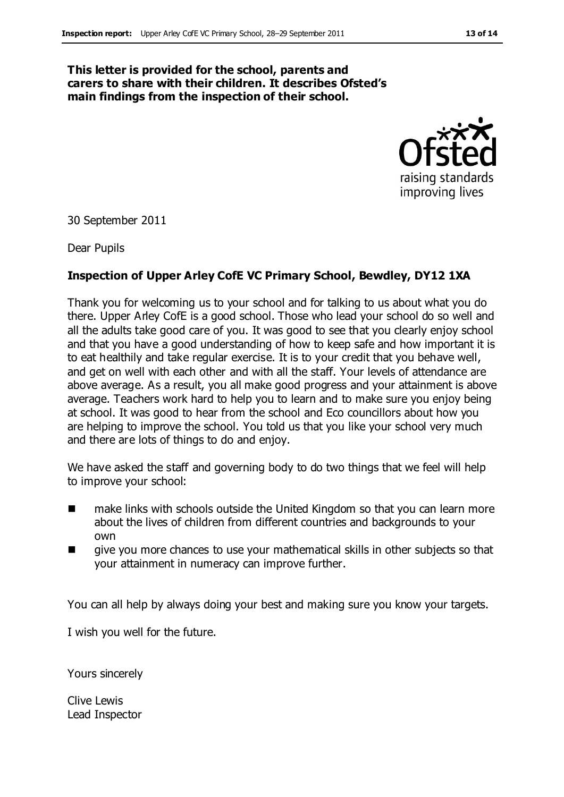#### **This letter is provided for the school, parents and carers to share with their children. It describes Ofsted's main findings from the inspection of their school.**



30 September 2011

Dear Pupils

#### **Inspection of Upper Arley CofE VC Primary School, Bewdley, DY12 1XA**

Thank you for welcoming us to your school and for talking to us about what you do there. Upper Arley CofE is a good school. Those who lead your school do so well and all the adults take good care of you. It was good to see that you clearly enjoy school and that you have a good understanding of how to keep safe and how important it is to eat healthily and take regular exercise. It is to your credit that you behave well, and get on well with each other and with all the staff. Your levels of attendance are above average. As a result, you all make good progress and your attainment is above average. Teachers work hard to help you to learn and to make sure you enjoy being at school. It was good to hear from the school and Eco councillors about how you are helping to improve the school. You told us that you like your school very much and there are lots of things to do and enjoy.

We have asked the staff and governing body to do two things that we feel will help to improve your school:

- make links with schools outside the United Kingdom so that you can learn more about the lives of children from different countries and backgrounds to your own
- give you more chances to use your mathematical skills in other subjects so that your attainment in numeracy can improve further.

You can all help by always doing your best and making sure you know your targets.

I wish you well for the future.

Yours sincerely

Clive Lewis Lead Inspector